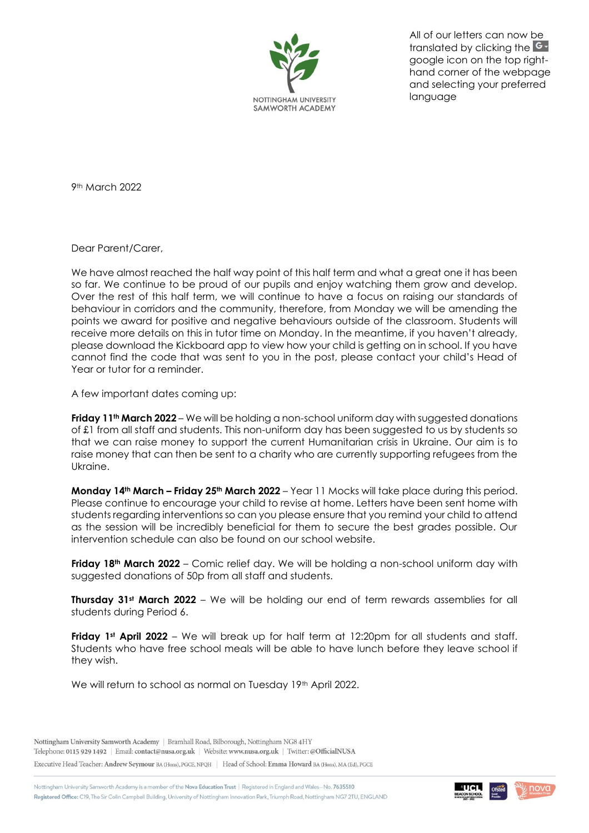

All of our letters can now be translated by clicking the **G**google icon on the top righthand corner of the webpage and selecting your preferred language

9th March 2022

Dear Parent/Carer,

We have almost reached the half way point of this half term and what a great one it has been so far. We continue to be proud of our pupils and enjoy watching them grow and develop. Over the rest of this half term, we will continue to have a focus on raising our standards of behaviour in corridors and the community, therefore, from Monday we will be amending the points we award for positive and negative behaviours outside of the classroom. Students will receive more details on this in tutor time on Monday. In the meantime, if you haven't already, please download the Kickboard app to view how your child is getting on in school. If you have cannot find the code that was sent to you in the post, please contact your child's Head of Year or tutor for a reminder.

A few important dates coming up:

**Friday 11th March 2022** – We will be holding a non-school uniform day with suggested donations of £1 from all staff and students. This non-uniform day has been suggested to us by students so that we can raise money to support the current Humanitarian crisis in Ukraine. Our aim is to raise money that can then be sent to a charity who are currently supporting refugees from the Ukraine.

**Monday 14th March – Friday 25th March 2022** – Year 11 Mocks will take place during this period. Please continue to encourage your child to revise at home. Letters have been sent home with students regarding interventions so can you please ensure that you remind your child to attend as the session will be incredibly beneficial for them to secure the best grades possible. Our intervention schedule can also be found on our school website.

**Friday 18th March 2022** – Comic relief day. We will be holding a non-school uniform day with suggested donations of 50p from all staff and students.

**Thursday 31st March 2022** – We will be holding our end of term rewards assemblies for all students during Period 6.

**Friday 1st April 2022** – We will break up for half term at 12:20pm for all students and staff. Students who have free school meals will be able to have lunch before they leave school if they wish.

We will return to school as normal on Tuesday 19<sup>th</sup> April 2022.

Nottingham University Samworth Academy | Bramhall Road, Bilborough, Nottingham NG8 4HY Telephone: 0115 929 1492 | Email: contact@nusa.org.uk | Website: www.nusa.org.uk | Twitter: @OfficialNUSA

Executive Head Teacher: Andrew Seymour BA (Hons), PGCE, NPQH | Head of School: Emma Howard BA (Hons), MA (Ed), PGCE

Nottingham University Samworth Academy is a member of the Nova Education Trust | Registered in England and Wales-No. 7635510 Registered Office: C19, The Sir Colin Campbell Building, University of Nottingham Innovation Park, Triumph Road, Nottingham NG7 2TU, ENGLAND